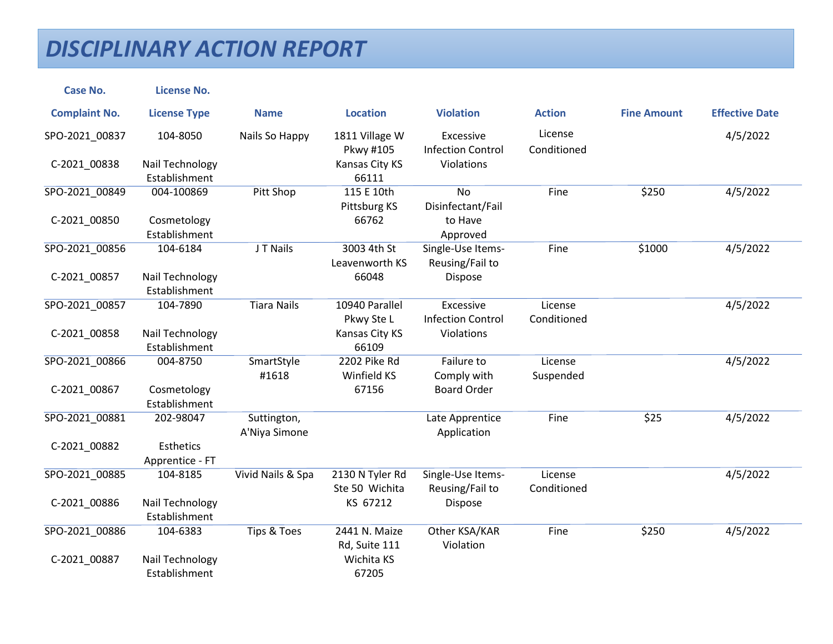| <b>Case No.</b>      | <b>License No.</b>               |                        |                             |                                       |                        |                    |                       |
|----------------------|----------------------------------|------------------------|-----------------------------|---------------------------------------|------------------------|--------------------|-----------------------|
| <b>Complaint No.</b> | <b>License Type</b>              | <b>Name</b>            | <b>Location</b>             | <b>Violation</b>                      | <b>Action</b>          | <b>Fine Amount</b> | <b>Effective Date</b> |
| SPO-2021_00837       | 104-8050                         | Nails So Happy         | 1811 Village W<br>Pkwy #105 | Excessive<br><b>Infection Control</b> | License<br>Conditioned |                    | 4/5/2022              |
| C-2021_00838         | Nail Technology                  |                        | Kansas City KS              | Violations                            |                        |                    |                       |
|                      | Establishment                    |                        | 66111                       |                                       |                        |                    |                       |
| SPO-2021 00849       | 004-100869                       | Pitt Shop              | 115 E 10th<br>Pittsburg KS  | <b>No</b><br>Disinfectant/Fail        | Fine                   | \$250              | 4/5/2022              |
| C-2021_00850         | Cosmetology                      |                        | 66762                       | to Have                               |                        |                    |                       |
|                      | Establishment                    |                        |                             | Approved                              |                        |                    |                       |
| SPO-2021 00856       | 104-6184                         | J T Nails              | 3003 4th St                 | Single-Use Items-                     | Fine                   | \$1000             | 4/5/2022              |
|                      |                                  |                        | Leavenworth KS              | Reusing/Fail to                       |                        |                    |                       |
| C-2021_00857         | Nail Technology<br>Establishment |                        | 66048                       | Dispose                               |                        |                    |                       |
| SPO-2021 00857       | 104-7890                         | <b>Tiara Nails</b>     | 10940 Parallel              | Excessive                             | License                |                    | 4/5/2022              |
|                      |                                  |                        | Pkwy Ste L                  | <b>Infection Control</b>              | Conditioned            |                    |                       |
| C-2021 00858         | Nail Technology                  |                        | Kansas City KS              | Violations                            |                        |                    |                       |
|                      | Establishment                    |                        | 66109                       |                                       |                        |                    |                       |
| SPO-2021_00866       | 004-8750                         | SmartStyle             | 2202 Pike Rd                | Failure to                            | License                |                    | 4/5/2022              |
|                      |                                  | #1618                  | Winfield KS                 | Comply with                           | Suspended              |                    |                       |
| C-2021_00867         | Cosmetology                      |                        | 67156                       | <b>Board Order</b>                    |                        |                    |                       |
|                      | Establishment                    |                        |                             |                                       |                        |                    |                       |
| SPO-2021 00881       | 202-98047                        | Suttington,            |                             | Late Apprentice                       | Fine                   | \$25               | 4/5/2022              |
|                      |                                  | A'Niya Simone          |                             | Application                           |                        |                    |                       |
| C-2021_00882         | Esthetics                        |                        |                             |                                       |                        |                    |                       |
|                      | Apprentice - FT                  |                        |                             |                                       |                        |                    |                       |
| SPO-2021 00885       | 104-8185                         | Vivid Nails & Spa      | 2130 N Tyler Rd             | Single-Use Items-                     | License                |                    | 4/5/2022              |
|                      |                                  |                        | Ste 50 Wichita              | Reusing/Fail to                       | Conditioned            |                    |                       |
| C-2021_00886         | Nail Technology                  |                        | KS 67212                    | Dispose                               |                        |                    |                       |
|                      | Establishment                    |                        |                             |                                       |                        |                    |                       |
| SPO-2021 00886       | 104-6383                         | <b>Tips &amp; Toes</b> | 2441 N. Maize               | Other KSA/KAR                         | Fine                   | \$250              | 4/5/2022              |
|                      |                                  |                        | Rd, Suite 111               | Violation                             |                        |                    |                       |
| C-2021 00887         | Nail Technology                  |                        | Wichita KS                  |                                       |                        |                    |                       |
|                      | Establishment                    |                        | 67205                       |                                       |                        |                    |                       |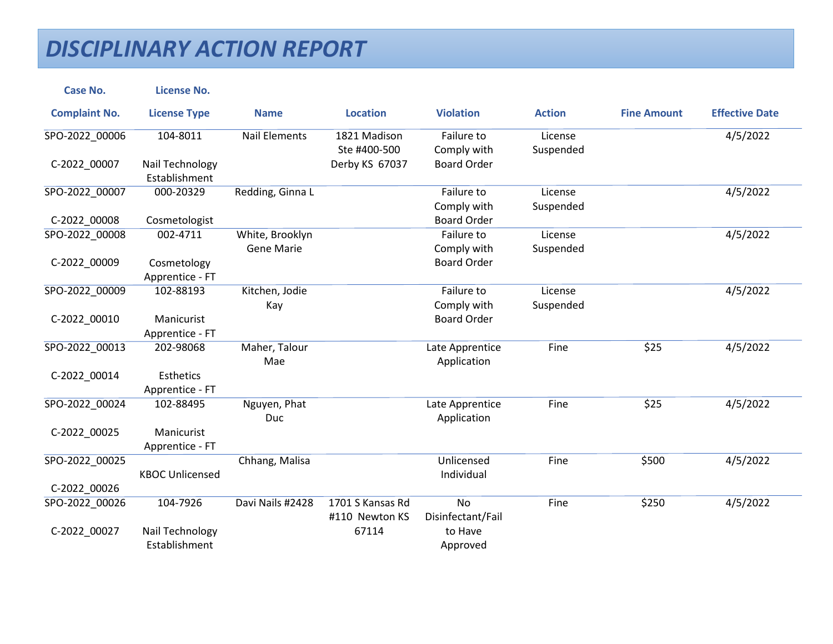| <b>Case No.</b>      | <b>License No.</b>     |                      |                  |                    |               |                    |                       |
|----------------------|------------------------|----------------------|------------------|--------------------|---------------|--------------------|-----------------------|
| <b>Complaint No.</b> | <b>License Type</b>    | <b>Name</b>          | <b>Location</b>  | <b>Violation</b>   | <b>Action</b> | <b>Fine Amount</b> | <b>Effective Date</b> |
| SPO-2022_00006       | 104-8011               | <b>Nail Elements</b> | 1821 Madison     | Failure to         | License       |                    | 4/5/2022              |
|                      |                        |                      | Ste #400-500     | Comply with        | Suspended     |                    |                       |
| C-2022_00007         | Nail Technology        |                      | Derby KS 67037   | <b>Board Order</b> |               |                    |                       |
|                      | Establishment          |                      |                  |                    |               |                    |                       |
| SPO-2022_00007       | 000-20329              | Redding, Ginna L     |                  | Failure to         | License       |                    | 4/5/2022              |
|                      |                        |                      |                  | Comply with        | Suspended     |                    |                       |
| C-2022 00008         | Cosmetologist          |                      |                  | <b>Board Order</b> |               |                    |                       |
| SPO-2022_00008       | 002-4711               | White, Brooklyn      |                  | Failure to         | License       |                    | 4/5/2022              |
|                      |                        | <b>Gene Marie</b>    |                  | Comply with        | Suspended     |                    |                       |
| C-2022_00009         | Cosmetology            |                      |                  | <b>Board Order</b> |               |                    |                       |
|                      | Apprentice - FT        |                      |                  |                    |               |                    |                       |
| SPO-2022_00009       | 102-88193              | Kitchen, Jodie       |                  | Failure to         | License       |                    | 4/5/2022              |
|                      |                        | Kay                  |                  | Comply with        | Suspended     |                    |                       |
| C-2022 00010         | Manicurist             |                      |                  | <b>Board Order</b> |               |                    |                       |
|                      | Apprentice - FT        |                      |                  |                    |               |                    |                       |
| SPO-2022_00013       | 202-98068              | Maher, Talour        |                  | Late Apprentice    | Fine          | \$25               | 4/5/2022              |
|                      |                        | Mae                  |                  | Application        |               |                    |                       |
| C-2022 00014         | <b>Esthetics</b>       |                      |                  |                    |               |                    |                       |
|                      | Apprentice - FT        |                      |                  |                    |               |                    |                       |
| SPO-2022 00024       | 102-88495              | Nguyen, Phat         |                  | Late Apprentice    | Fine          | \$25               | 4/5/2022              |
|                      |                        | Duc                  |                  | Application        |               |                    |                       |
| C-2022 00025         | Manicurist             |                      |                  |                    |               |                    |                       |
|                      | Apprentice - FT        |                      |                  |                    |               |                    |                       |
| SPO-2022_00025       |                        | Chhang, Malisa       |                  | Unlicensed         | Fine          | \$500              | 4/5/2022              |
|                      | <b>KBOC Unlicensed</b> |                      |                  | Individual         |               |                    |                       |
| C-2022_00026         |                        |                      |                  |                    |               |                    |                       |
| SPO-2022_00026       | 104-7926               | Davi Nails #2428     | 1701 S Kansas Rd | <b>No</b>          | Fine          | \$250              | 4/5/2022              |
|                      |                        |                      | #110 Newton KS   | Disinfectant/Fail  |               |                    |                       |
|                      |                        |                      |                  | to Have            |               |                    |                       |
| C-2022_00027         | Nail Technology        |                      | 67114            |                    |               |                    |                       |
|                      | Establishment          |                      |                  | Approved           |               |                    |                       |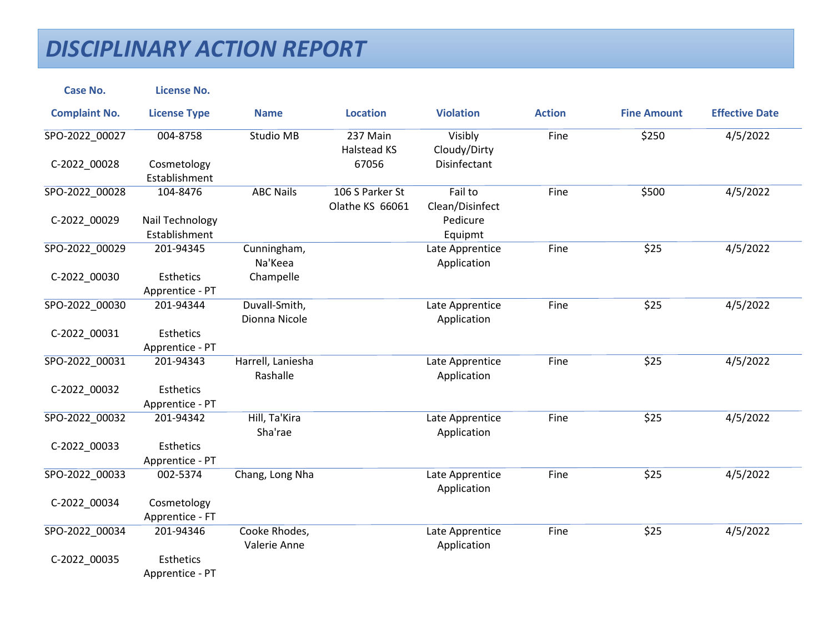| <b>Case No.</b>      | <b>License No.</b>                  |                                |                                    |                                |               |                    |                       |
|----------------------|-------------------------------------|--------------------------------|------------------------------------|--------------------------------|---------------|--------------------|-----------------------|
| <b>Complaint No.</b> | <b>License Type</b>                 | <b>Name</b>                    | <b>Location</b>                    | <b>Violation</b>               | <b>Action</b> | <b>Fine Amount</b> | <b>Effective Date</b> |
| SPO-2022_00027       | 004-8758                            | Studio MB                      | 237 Main<br>Halstead KS            | Visibly<br>Cloudy/Dirty        | Fine          | \$250              | 4/5/2022              |
| C-2022_00028         | Cosmetology<br>Establishment        |                                | 67056                              | Disinfectant                   |               |                    |                       |
| SPO-2022 00028       | 104-8476                            | <b>ABC Nails</b>               | 106 S Parker St<br>Olathe KS 66061 | Fail to<br>Clean/Disinfect     | Fine          | \$500              | 4/5/2022              |
| C-2022_00029         | Nail Technology<br>Establishment    |                                |                                    | Pedicure<br>Equipmt            |               |                    |                       |
| SPO-2022_00029       | 201-94345                           | Cunningham,<br>Na'Keea         |                                    | Late Apprentice<br>Application | Fine          | \$25               | 4/5/2022              |
| C-2022_00030         | <b>Esthetics</b><br>Apprentice - PT | Champelle                      |                                    |                                |               |                    |                       |
| SPO-2022 00030       | 201-94344                           | Duvall-Smith,<br>Dionna Nicole |                                    | Late Apprentice<br>Application | Fine          | \$25               | 4/5/2022              |
| C-2022_00031         | <b>Esthetics</b><br>Apprentice - PT |                                |                                    |                                |               |                    |                       |
| SPO-2022_00031       | 201-94343                           | Harrell, Laniesha<br>Rashalle  |                                    | Late Apprentice<br>Application | Fine          | \$25               | 4/5/2022              |
| C-2022_00032         | <b>Esthetics</b><br>Apprentice - PT |                                |                                    |                                |               |                    |                       |
| SPO-2022 00032       | 201-94342                           | Hill, Ta'Kira<br>Sha'rae       |                                    | Late Apprentice<br>Application | Fine          | \$25               | 4/5/2022              |
| C-2022_00033         | <b>Esthetics</b><br>Apprentice - PT |                                |                                    |                                |               |                    |                       |
| SPO-2022 00033       | 002-5374                            | Chang, Long Nha                |                                    | Late Apprentice<br>Application | Fine          | \$25               | 4/5/2022              |
| C-2022_00034         | Cosmetology<br>Apprentice - FT      |                                |                                    |                                |               |                    |                       |
| SPO-2022 00034       | 201-94346                           | Cooke Rhodes,<br>Valerie Anne  |                                    | Late Apprentice<br>Application | Fine          | \$25               | 4/5/2022              |
| C-2022_00035         | <b>Esthetics</b><br>Apprentice - PT |                                |                                    |                                |               |                    |                       |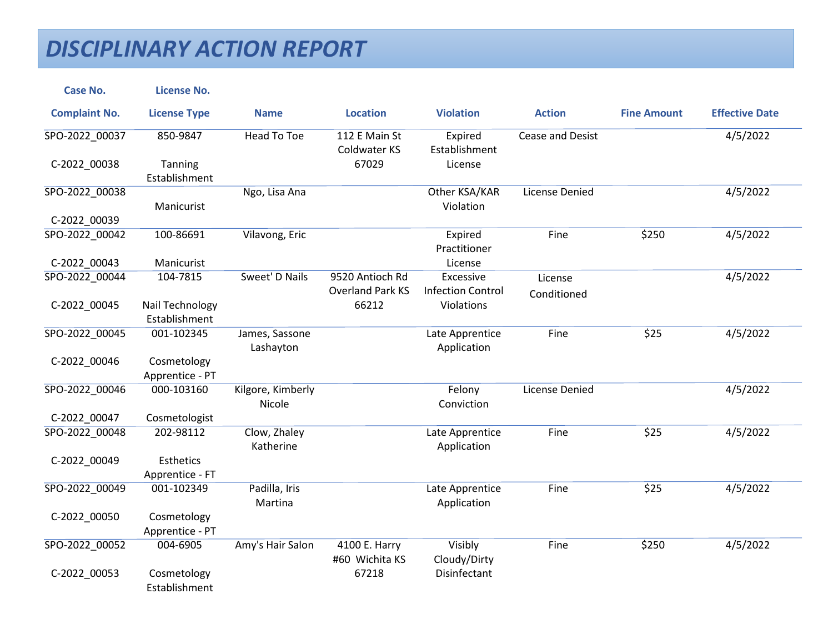| <b>Case No.</b>      | <b>License No.</b>           |                   |                               |                          |                       |                    |                       |
|----------------------|------------------------------|-------------------|-------------------------------|--------------------------|-----------------------|--------------------|-----------------------|
| <b>Complaint No.</b> | <b>License Type</b>          | <b>Name</b>       | <b>Location</b>               | <b>Violation</b>         | <b>Action</b>         | <b>Fine Amount</b> | <b>Effective Date</b> |
| SPO-2022_00037       | 850-9847                     | Head To Toe       | 112 E Main St<br>Coldwater KS | Expired<br>Establishment | Cease and Desist      |                    | 4/5/2022              |
| C-2022_00038         | Tanning                      |                   | 67029                         | License                  |                       |                    |                       |
|                      | Establishment                |                   |                               |                          |                       |                    |                       |
| SPO-2022_00038       |                              | Ngo, Lisa Ana     |                               | Other KSA/KAR            | <b>License Denied</b> |                    | 4/5/2022              |
|                      | Manicurist                   |                   |                               | Violation                |                       |                    |                       |
| C-2022 00039         |                              |                   |                               |                          |                       |                    |                       |
| SPO-2022 00042       | 100-86691                    | Vilavong, Eric    |                               | Expired<br>Practitioner  | Fine                  | \$250              | 4/5/2022              |
| C-2022_00043         | Manicurist                   |                   |                               | License                  |                       |                    |                       |
| SPO-2022 00044       | 104-7815                     | Sweet' D Nails    | 9520 Antioch Rd               | Excessive                | License               |                    | 4/5/2022              |
|                      |                              |                   | <b>Overland Park KS</b>       | <b>Infection Control</b> | Conditioned           |                    |                       |
| C-2022_00045         | Nail Technology              |                   | 66212                         | Violations               |                       |                    |                       |
|                      | Establishment                |                   |                               |                          |                       |                    |                       |
| SPO-2022 00045       | 001-102345                   | James, Sassone    |                               | Late Apprentice          | Fine                  | \$25               | 4/5/2022              |
|                      |                              | Lashayton         |                               | Application              |                       |                    |                       |
| C-2022_00046         | Cosmetology                  |                   |                               |                          |                       |                    |                       |
|                      | Apprentice - PT              |                   |                               |                          |                       |                    |                       |
| SPO-2022 00046       | 000-103160                   | Kilgore, Kimberly |                               | Felony                   | License Denied        |                    | 4/5/2022              |
|                      |                              | Nicole            |                               | Conviction               |                       |                    |                       |
| C-2022_00047         | Cosmetologist                |                   |                               |                          |                       |                    |                       |
| SPO-2022 00048       | 202-98112                    | Clow, Zhaley      |                               | Late Apprentice          | Fine                  | \$25               | 4/5/2022              |
|                      |                              | Katherine         |                               | Application              |                       |                    |                       |
| C-2022 00049         | <b>Esthetics</b>             |                   |                               |                          |                       |                    |                       |
|                      | Apprentice - FT              |                   |                               |                          |                       |                    |                       |
| SPO-2022 00049       | 001-102349                   | Padilla, Iris     |                               | Late Apprentice          | Fine                  | \$25               | 4/5/2022              |
|                      |                              | Martina           |                               | Application              |                       |                    |                       |
| C-2022 00050         | Cosmetology                  |                   |                               |                          |                       |                    |                       |
|                      | Apprentice - PT              |                   |                               |                          |                       |                    |                       |
| SPO-2022_00052       | 004-6905                     | Amy's Hair Salon  | 4100 E. Harry                 | Visibly                  | Fine                  | \$250              | 4/5/2022              |
|                      |                              |                   | #60 Wichita KS                | Cloudy/Dirty             |                       |                    |                       |
| C-2022_00053         | Cosmetology<br>Establishment |                   | 67218                         | Disinfectant             |                       |                    |                       |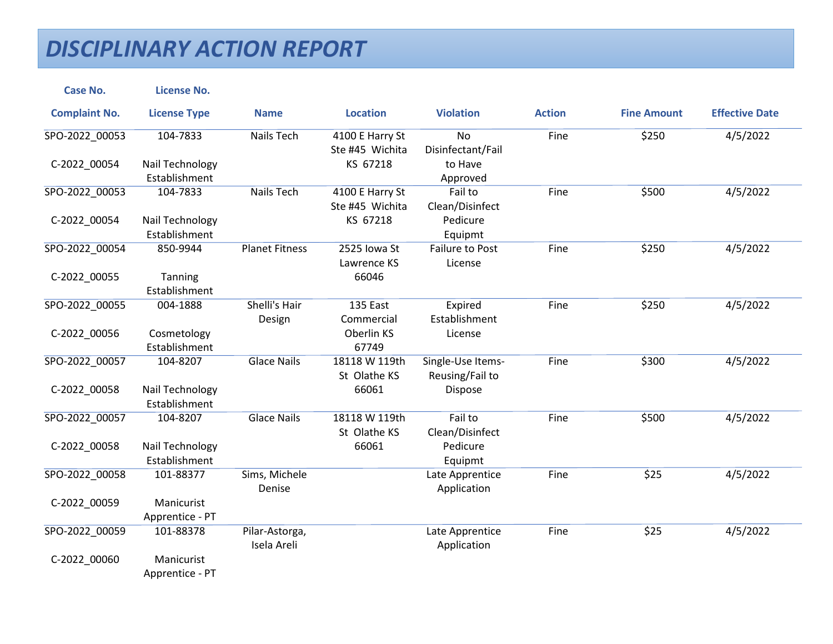| <b>Case No.</b>      | <b>License No.</b>  |                       |                 |                   |               |                    |                       |
|----------------------|---------------------|-----------------------|-----------------|-------------------|---------------|--------------------|-----------------------|
| <b>Complaint No.</b> | <b>License Type</b> | <b>Name</b>           | <b>Location</b> | <b>Violation</b>  | <b>Action</b> | <b>Fine Amount</b> | <b>Effective Date</b> |
| SPO-2022_00053       | 104-7833            | Nails Tech            | 4100 E Harry St | <b>No</b>         | Fine          | \$250              | 4/5/2022              |
|                      |                     |                       | Ste #45 Wichita | Disinfectant/Fail |               |                    |                       |
| C-2022_00054         | Nail Technology     |                       | KS 67218        | to Have           |               |                    |                       |
|                      | Establishment       |                       |                 | Approved          |               |                    |                       |
| SPO-2022 00053       | 104-7833            | <b>Nails Tech</b>     | 4100 E Harry St | Fail to           | Fine          | \$500              | 4/5/2022              |
|                      |                     |                       | Ste #45 Wichita | Clean/Disinfect   |               |                    |                       |
| C-2022_00054         | Nail Technology     |                       | KS 67218        | Pedicure          |               |                    |                       |
|                      | Establishment       |                       |                 | Equipmt           |               |                    |                       |
| SPO-2022_00054       | 850-9944            | <b>Planet Fitness</b> | 2525 Iowa St    | Failure to Post   | Fine          | \$250              | 4/5/2022              |
|                      |                     |                       | Lawrence KS     | License           |               |                    |                       |
| C-2022_00055         | Tanning             |                       | 66046           |                   |               |                    |                       |
|                      | Establishment       |                       |                 |                   |               |                    |                       |
| SPO-2022 00055       | 004-1888            | Shelli's Hair         | 135 East        | Expired           | Fine          | \$250              | 4/5/2022              |
|                      |                     | Design                | Commercial      | Establishment     |               |                    |                       |
| C-2022_00056         | Cosmetology         |                       | Oberlin KS      | License           |               |                    |                       |
|                      | Establishment       |                       | 67749           |                   |               |                    |                       |
| SPO-2022_00057       | 104-8207            | <b>Glace Nails</b>    | 18118 W 119th   | Single-Use Items- | Fine          | \$300              | 4/5/2022              |
|                      |                     |                       | St Olathe KS    | Reusing/Fail to   |               |                    |                       |
| C-2022_00058         | Nail Technology     |                       | 66061           | Dispose           |               |                    |                       |
|                      | Establishment       |                       |                 |                   |               |                    |                       |
| SPO-2022 00057       | 104-8207            | <b>Glace Nails</b>    | 18118 W 119th   | Fail to           | Fine          | \$500              | 4/5/2022              |
|                      |                     |                       | St Olathe KS    | Clean/Disinfect   |               |                    |                       |
| C-2022_00058         | Nail Technology     |                       | 66061           | Pedicure          |               |                    |                       |
|                      | Establishment       |                       |                 | Equipmt           |               |                    |                       |
| SPO-2022_00058       | 101-88377           | Sims, Michele         |                 | Late Apprentice   | Fine          | \$25               | 4/5/2022              |
|                      |                     | Denise                |                 | Application       |               |                    |                       |
| C-2022_00059         | Manicurist          |                       |                 |                   |               |                    |                       |
|                      | Apprentice - PT     |                       |                 |                   |               |                    |                       |
| SPO-2022 00059       | 101-88378           | Pilar-Astorga,        |                 | Late Apprentice   | Fine          | \$25               | 4/5/2022              |
|                      |                     | Isela Areli           |                 | Application       |               |                    |                       |
| C-2022_00060         | Manicurist          |                       |                 |                   |               |                    |                       |
|                      | Apprentice - PT     |                       |                 |                   |               |                    |                       |